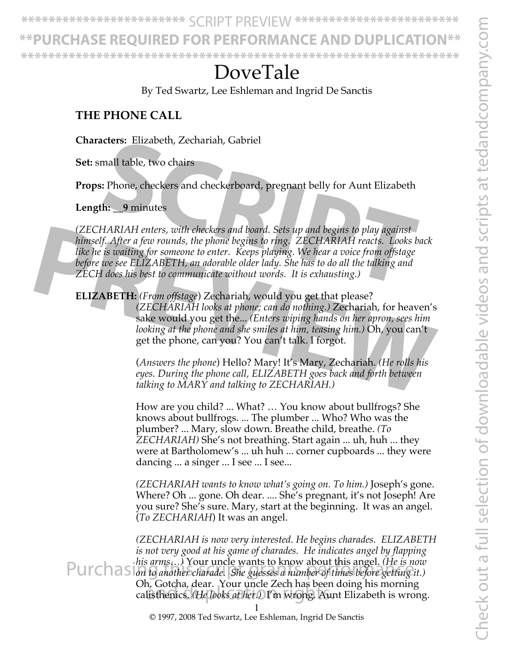**\*\*\*\*\*\*\*\*\*\*\*\*\*\*\*\*\*\*\*\*\*\*\*\*** SCRIPT PREVIEW **\*\*\*\*\*\*\*\*\*\*\*\*\*\*\*\*\*\*\*\*\*\*\*\***

**\*\*PURCHASE REQUIRED FOR PERFORMANCE AND DUPLICATION\*\***

**\*\*\*\*\*\*\*\*\*\*\*\*\*\*\*\*\*\*\*\*\*\*\*\*\*\*\*\*\*\*\*\*\*\*\*\*\*\*\*\*\*\*\*\*\*\*\*\*\*\*\*\*\*\*\*\*\*\*\*\*\*\*\*\***

# DoveTale

By Ted Swartz, Lee Eshleman and Ingrid De Sanctis

### **THE PHONE CALL**

**Characters:** Elizabeth, Zechariah, Gabriel

**Set:** small table, two chairs

**Props:** Phone, checkers and checkerboard, pregnant belly for Aunt Elizabeth

**Length: \_\_9** minutes

*(ZECHARIAH enters, with checkers and board. Sets up and begins to play against himself. After a few rounds, the phone begins to ring. ZECHARIAH reacts. Looks back like he is waiting for someone to enter. Keeps playing. We hear a voice from offstage before we see ELIZABETH, an adorable older lady. She has to do all the talking and ZECH does his best to communicate without words. It is exhausting.)* **CONFIGURER:** Enzabeth, Zecnarian, Gabriel<br> **SCRIPT ADM**<br> **SCRIPT ADM**<br> **SCRIPT ADM**<br> **SCRIPT ADMALLY ENSABLE ADM**<br> **SCRIPT ADMALLY ENSABLE ADM**<br> **SCRIPT ADMALLY ADMALLY ADMALLY ADMALLY ADMALLY ADMALLY PROPERTIONS**<br> **SCRIP** 

**ELIZABETH:** *(From offstage*) Zechariah, would you get that please? *(ZECHARIAH looks at phone; can do nothing.)* Zechariah, for heaven's sake would you get the... *(Enters wiping hands on her apron, sees him looking at the phone and she smiles at him, teasing him.*) Oh, you can't get the phone, can you? You can't talk. I forgot. (*ZECHARIAH enters, with checkers and board. Sets up and begins to play against*<br>
himself. After a few rounds, the phone begins to ring, *ZECHARIAH reacts. Looks back*<br>
like he is waiting for someone to enter. Keeps playin

(*Answers the phone*) Hello? Mary! It's Mary, Zechariah. *(He rolls his eyes. During the phone call, ELIZABETH goes back and forth between talking to MARY and talking to ZECHARIAH.)*

How are you child? ... What? … You know about bullfrogs? She knows about bullfrogs. ... The plumber ... Who? Who was the plumber? ... Mary, slow down. Breathe child, breathe. *(To ZECHARIAH)* She's not breathing. Start again ... uh, huh ... they were at Bartholomew's ... uh huh ... corner cupboards ... they were dancing ... a singer ... I see ... I see...

*(ZECHARIAH wants to know what's going on. To him.)* Joseph's gone. Where? Oh ... gone. Oh dear. .... She's pregnant, it's not Joseph! Are you sure? She's sure. Mary, start at the beginning. It was an angel. (*To ZECHARIAH*) It was an angel.

*(ZECHARIAH is now very interested. He begins charades. ELIZABETH is not very good at his game of charades. He indicates angel by flapping his arms…)* Your uncle wants to know about this angel. *(He is now*  Purchasing *this arms*...) Your uncle wants to know about this angel. (*He is now* purchasing it.) Oh, Gotcha, dear. Your uncle Zech has been doing his morning On, Gotcha, dear. Tour uncle Zech has been doing his morning<br>calisthenics. *(He looks at her.)* I'm wrong. Aunt Elizabeth is wrong.

© 1997, 2008 Ted Swartz, Lee Eshleman, Ingrid De Sanctis

1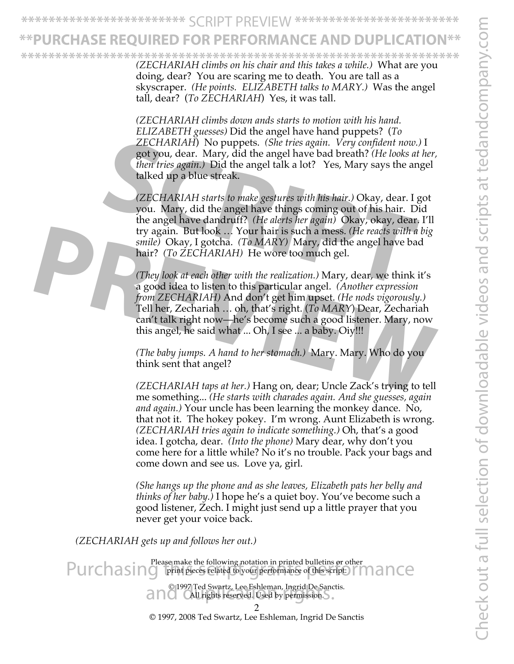**\*\*\*\*\*\*\*\*\*\*\*\*\*\*\*\*\*\*\*\*\*\*\*\*** SCRIPT PREVIEW **\*\*\*\*\*\*\*\*\*\*\*\*\*\*\*\*\*\*\*\*\*\*\*\***

# **JRCHASE REQUIRED FOR PERFORMANCE AND DUPLICATI**

*(ZECHARIAH climbs on his chair and this takes a while.)* What are you doing, dear? You are scaring me to death. You are tall as a skyscraper. *(He points. ELIZABETH talks to MARY.)* Was the angel tall, dear? (*To ZECHARIAH*) Yes, it was tall. **\*\*\*\*\*\*\*\*\*\*\*\*\*\*\*\*\*\*\*\*\*\*\*\*\*\*\*\*\*\*\*\*\*\*\*\*\*\*\*\*\*\*\*\*\*\*\*\*\*\*\*\*\*\*\*\*\*\*\*\*\*\*\*\***

> *(ZECHARIAH climbs down ands starts to motion with his hand. ELIZABETH guesses)* Did the angel have hand puppets? (*To ZECHARIAH*) No puppets. *(She tries again. Very confident now.)* I got you, dear. Mary, did the angel have bad breath? *(He looks at her, then tries again.)* Did the angel talk a lot? Yes, Mary says the angel talked up a blue streak.

*(ZECHARIAH starts to make gestures with his hair.)* Okay, dear. I got you. Mary, did the angel have things coming out of his hair. Did the angel have dandruff? *(He alerts her again)* Okay, okay, dear. I'll try again. But look … Your hair is such a mess. *(He reacts with a big smile)* Okay, I gotcha. *(To MARY)* Mary, did the angel have bad hair? *(To ZECHARIAH)* He wore too much gel. *ZECHARIAH*) No puppets. *(She tries again. Very confident now.)*<br>got you, dear. Mary, did the angel have bad breath? *(He looks at iften tries again.)* Did the angel talk a lot? Yes, Mary says the ang<br>talked up a blue str

*(They look at each other with the realization.)* Mary, dear, we think it's a good idea to listen to this particular angel. *(Another expression from ZECHARIAH)* And don't get him upset. *(He nods vigorously.)*  Tell her, Zechariah … oh, that's right. (*To MARY*) Dear, Zechariah can't talk right now—he's become such a good listener. Mary, now this angel, he said what ... Oh, I see ... a baby. Oiy!!! try again. But look ... Your hair is such a mess. (*He reacts with a big smile*) Okay, I gotcha. (*To MARY*) Mary, did the angel have bad hair? (*To ZECHARIAH)* He wore too much gel.<br>(*They look at each other with the re* 

*(The baby jumps. A hand to her stomach.)* Mary. Mary. Who do you think sent that angel?

*(ZECHARIAH taps at her.)* Hang on, dear; Uncle Zack's trying to tell me something... *(He starts with charades again. And she guesses, again and again.)* Your uncle has been learning the monkey dance. No, that not it. The hokey pokey. I'm wrong. Aunt Elizabeth is wrong. *(ZECHARIAH tries again to indicate something.)* Oh, that's a good idea. I gotcha, dear. *(Into the phone)* Mary dear, why don't you come here for a little while? No it's no trouble. Pack your bags and come down and see us. Love ya, girl.

*(She hangs up the phone and as she leaves, Elizabeth pats her belly and thinks of her baby.)* I hope he's a quiet boy. You've become such a good listener, Zech. I might just send up a little prayer that you never get your voice back.

*(ZECHARIAH gets up and follows her out.)*